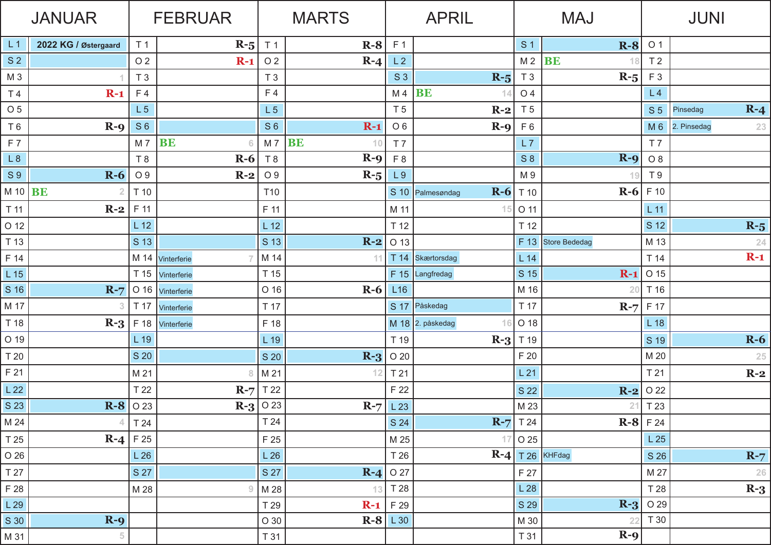| <b>JANUAR</b>   |                      | <b>FEBRUAR</b>                        |                  | <b>MARTS</b>    |                 | <b>APRIL</b>         |                           | <b>MAJ</b>     |                   | <b>JUNI</b>                |                     |
|-----------------|----------------------|---------------------------------------|------------------|-----------------|-----------------|----------------------|---------------------------|----------------|-------------------|----------------------------|---------------------|
| L <sub>1</sub>  | 2022 KG / Østergaard | T <sub>1</sub>                        | $R - 5$          | T <sub>1</sub>  | $R-8$           | F <sub>1</sub>       |                           | S <sub>1</sub> | $R-8$             | O <sub>1</sub>             |                     |
| S <sub>2</sub>  |                      | O <sub>2</sub>                        | $R-1$            | O <sub>2</sub>  | $R-4$           | L2                   |                           | M <sub>2</sub> | <b>BE</b><br>18   | T <sub>2</sub>             |                     |
| M <sub>3</sub>  |                      | T <sub>3</sub>                        |                  | T <sub>3</sub>  |                 | S <sub>3</sub>       | $R-5$                     | T <sub>3</sub> | $R-5$             | F <sub>3</sub>             |                     |
| T <sub>4</sub>  | $R-1$                | F 4                                   |                  | F <sub>4</sub>  |                 | M <sub>4</sub>       | <b>BE</b>                 | O 4            |                   | L4                         |                     |
| O 5             |                      | L <sub>5</sub>                        |                  | L <sub>5</sub>  |                 | T 5                  | $R-2$                     | T <sub>5</sub> |                   | S <sub>5</sub>             | $R - 4$<br>Pinsedag |
| T <sub>6</sub>  | $R-9$                | S <sub>6</sub>                        |                  | S <sub>6</sub>  | $R-1$           | O <sub>6</sub>       | $R - 9$                   | F6             |                   | M <sub>6</sub>             | 2. Pinsedag<br>23   |
| F <sub>7</sub>  |                      | M 7                                   | <b>BE</b><br>6   | M 7             | <b>BE</b><br>10 | T <sub>7</sub>       |                           | L7             |                   | T <sub>7</sub>             |                     |
| L8              |                      | T8                                    | $R-6$            | T <sub>8</sub>  | $R-9$           | F <sub>8</sub>       |                           | S8             | $R - 9$           | O 8                        |                     |
| S <sub>9</sub>  | $R-6$                | O 9                                   | $R-2$            | O 9             | $R-5$           | L9                   |                           | M 9            | 19                | T <sub>9</sub>             |                     |
| M 10 $BE$       |                      | T 10                                  |                  | T <sub>10</sub> |                 |                      | $R-6$<br>S 10 Palmesøndag | T 10           | $R-6$             | F 10                       |                     |
| T 11            | $R-2$                | F 11                                  |                  | F 11            |                 | M 11                 |                           | O 11           |                   | $L$ 11                     |                     |
| O 12            |                      | $L$ 12                                |                  | L <sub>12</sub> |                 | T 12                 |                           | T 12           |                   | S 12                       | $R-5$               |
| T 13            |                      | S 13                                  |                  | S 13            | $R-2$           | O 13                 |                           | F 13           | Store Bededag     | M 13                       | 24                  |
| F 14            |                      |                                       | M 14 Vinterferie | M 14            | -11             |                      | T 14 Skærtorsdag          | L14            |                   | T 14                       | $R-1$               |
| L 15            |                      | T 15                                  | Vinterferie      | T 15            |                 |                      | $F 15$ Langfredag         | S 15           | $R-1$             | O 15                       |                     |
| S 16            | $R-7$                |                                       | O 16 Vinterferie | O 16            | $R-6$           | L16                  |                           | M 16           | 20                | T 16                       |                     |
| M 17            | З                    | T 17                                  | Vinterferie      | T 17            |                 |                      | S 17 Påskedag             | T 17           | $R-7$             | F 17                       |                     |
| T 18            | $R-3$                | F 18                                  | Vinterferie      | F 18            |                 |                      | M 18 $2.$ påskedag<br>16  | O 18           |                   | L <sub>18</sub>            |                     |
| O 19            |                      | $L$ 19                                |                  | L 19            |                 | T 19                 | $R - 3$                   | T 19           |                   | S 19                       | $R-6$               |
| T 20            |                      | S 20                                  |                  | S 20            | $R-3$           | O 20                 |                           | F 20           |                   | M 20                       | 25                  |
| F 21            |                      | M 21                                  | 8                | M 21            | 12              | T <sub>21</sub>      |                           | L21            |                   | T 21                       | $R-2$               |
| L <sub>22</sub> |                      | T 22                                  | $R-7$            | T 22            |                 | F 22                 |                           | S 22           | $R-2$             | O 22                       |                     |
| S 23            |                      | $\mathbf{R}\text{-}\mathbf{8}$   0 23 |                  | $R - 3$   0 23  | $R-7$           | L 23                 |                           | M 23           | 21                | T 23                       |                     |
| M 24            | 4                    | T 24                                  |                  | T 24            |                 | S 24                 |                           | $R-7$ T 24     |                   | $\mathbf{R}\text{-}8$ F 24 |                     |
| T 25            | $R-4$                | F 25                                  |                  | F 25            |                 | M 25                 | 17                        | $\sqrt{}$ O 25 |                   | L25                        |                     |
| O 26            |                      | L26                                   |                  | L26             |                 | T 26                 |                           |                | $R-4$ T 26 KHFdag | S 26                       | $R-7$               |
| T 27            |                      | S 27                                  |                  | S 27            |                 | $\mathbf{R}$ -4 0 27 |                           | F 27           |                   | M 27                       | 26                  |
| F 28            |                      | M 28                                  | 9                | M 28            | 13              | T 28                 |                           | L28            |                   | T 28                       | $R-3$               |
| L 29            |                      |                                       |                  | T 29            | $R-1$           | F 29                 |                           | S 29           | $R - 3$           | O 29                       |                     |
| S 30            | $R-9$                |                                       |                  | O 30            |                 | $R-8$ $L30$          |                           | M 30           | 22                | T 30                       |                     |
| M 31            | $\sqrt{5}$           |                                       |                  | $\sqrt{731}$    |                 |                      |                           | T 31           | $R-9$             |                            |                     |